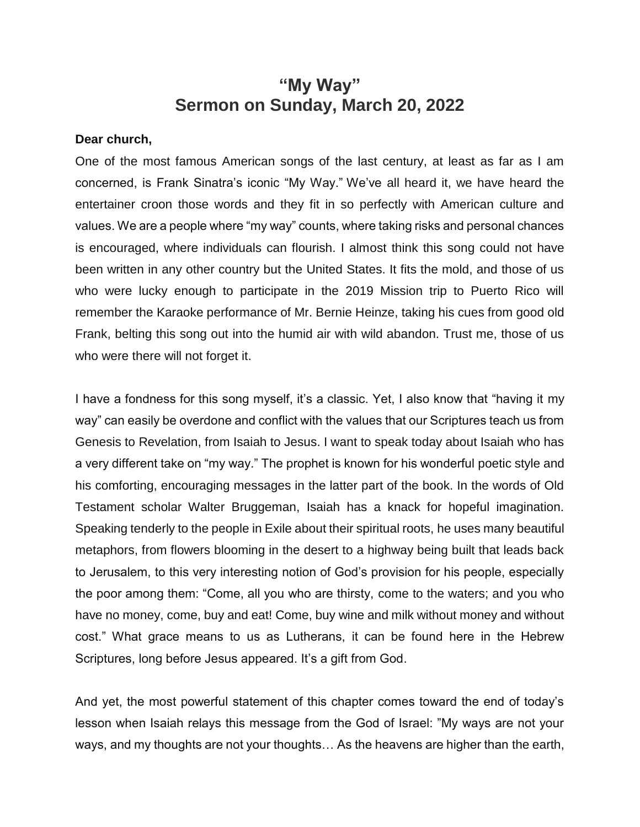## **"My Way" Sermon on Sunday, March 20, 2022**

## **Dear church,**

One of the most famous American songs of the last century, at least as far as I am concerned, is Frank Sinatra's iconic "My Way." We've all heard it, we have heard the entertainer croon those words and they fit in so perfectly with American culture and values. We are a people where "my way" counts, where taking risks and personal chances is encouraged, where individuals can flourish. I almost think this song could not have been written in any other country but the United States. It fits the mold, and those of us who were lucky enough to participate in the 2019 Mission trip to Puerto Rico will remember the Karaoke performance of Mr. Bernie Heinze, taking his cues from good old Frank, belting this song out into the humid air with wild abandon. Trust me, those of us who were there will not forget it.

I have a fondness for this song myself, it's a classic. Yet, I also know that "having it my way" can easily be overdone and conflict with the values that our Scriptures teach us from Genesis to Revelation, from Isaiah to Jesus. I want to speak today about Isaiah who has a very different take on "my way." The prophet is known for his wonderful poetic style and his comforting, encouraging messages in the latter part of the book. In the words of Old Testament scholar Walter Bruggeman, Isaiah has a knack for hopeful imagination. Speaking tenderly to the people in Exile about their spiritual roots, he uses many beautiful metaphors, from flowers blooming in the desert to a highway being built that leads back to Jerusalem, to this very interesting notion of God's provision for his people, especially the poor among them: "Come, all you who are thirsty, come to the waters; and you who have no money, come, buy and eat! Come, buy wine and milk without money and without cost." What grace means to us as Lutherans, it can be found here in the Hebrew Scriptures, long before Jesus appeared. It's a gift from God.

And yet, the most powerful statement of this chapter comes toward the end of today's lesson when Isaiah relays this message from the God of Israel: "My ways are not your ways, and my thoughts are not your thoughts… As the heavens are higher than the earth,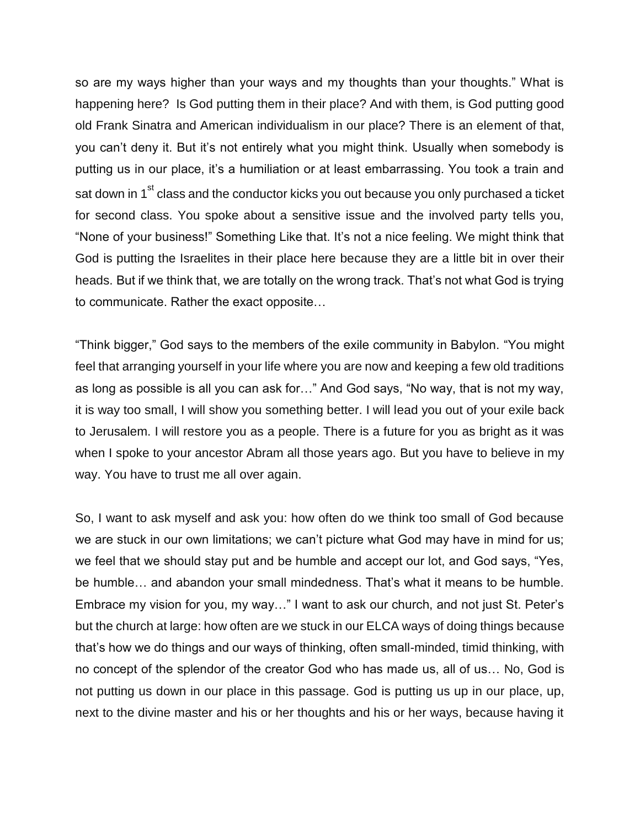so are my ways higher than your ways and my thoughts than your thoughts." What is happening here? Is God putting them in their place? And with them, is God putting good old Frank Sinatra and American individualism in our place? There is an element of that, you can't deny it. But it's not entirely what you might think. Usually when somebody is putting us in our place, it's a humiliation or at least embarrassing. You took a train and sat down in 1<sup>st</sup> class and the conductor kicks you out because you only purchased a ticket for second class. You spoke about a sensitive issue and the involved party tells you, "None of your business!" Something Like that. It's not a nice feeling. We might think that God is putting the Israelites in their place here because they are a little bit in over their heads. But if we think that, we are totally on the wrong track. That's not what God is trying to communicate. Rather the exact opposite…

"Think bigger," God says to the members of the exile community in Babylon. "You might feel that arranging yourself in your life where you are now and keeping a few old traditions as long as possible is all you can ask for…" And God says, "No way, that is not my way, it is way too small, I will show you something better. I will lead you out of your exile back to Jerusalem. I will restore you as a people. There is a future for you as bright as it was when I spoke to your ancestor Abram all those years ago. But you have to believe in my way. You have to trust me all over again.

So, I want to ask myself and ask you: how often do we think too small of God because we are stuck in our own limitations; we can't picture what God may have in mind for us; we feel that we should stay put and be humble and accept our lot, and God says, "Yes, be humble… and abandon your small mindedness. That's what it means to be humble. Embrace my vision for you, my way…" I want to ask our church, and not just St. Peter's but the church at large: how often are we stuck in our ELCA ways of doing things because that's how we do things and our ways of thinking, often small-minded, timid thinking, with no concept of the splendor of the creator God who has made us, all of us… No, God is not putting us down in our place in this passage. God is putting us up in our place, up, next to the divine master and his or her thoughts and his or her ways, because having it